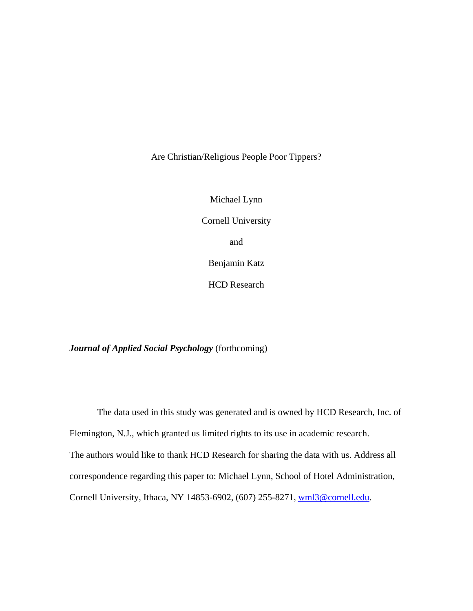Are Christian/Religious People Poor Tippers?

Michael Lynn Cornell University and Benjamin Katz

HCD Research

*Journal of Applied Social Psychology* (forthcoming)

The data used in this study was generated and is owned by HCD Research, Inc. of Flemington, N.J., which granted us limited rights to its use in academic research. The authors would like to thank HCD Research for sharing the data with us. Address all correspondence regarding this paper to: Michael Lynn, School of Hotel Administration, Cornell University, Ithaca, NY 14853-6902, (607) 255-8271, wml3@cornell.edu.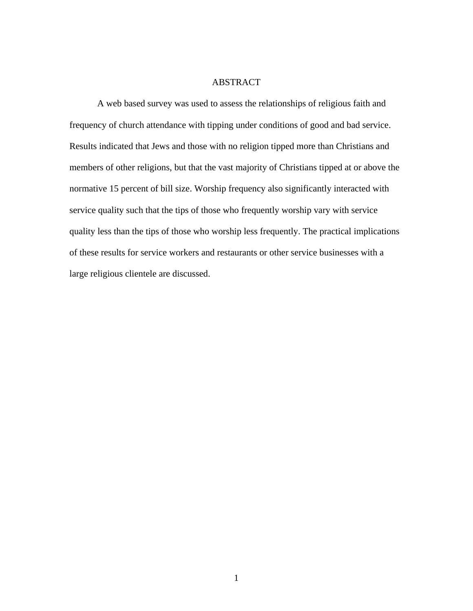# ABSTRACT

 A web based survey was used to assess the relationships of religious faith and frequency of church attendance with tipping under conditions of good and bad service. Results indicated that Jews and those with no religion tipped more than Christians and members of other religions, but that the vast majority of Christians tipped at or above the normative 15 percent of bill size. Worship frequency also significantly interacted with service quality such that the tips of those who frequently worship vary with service quality less than the tips of those who worship less frequently. The practical implications of these results for service workers and restaurants or other service businesses with a large religious clientele are discussed.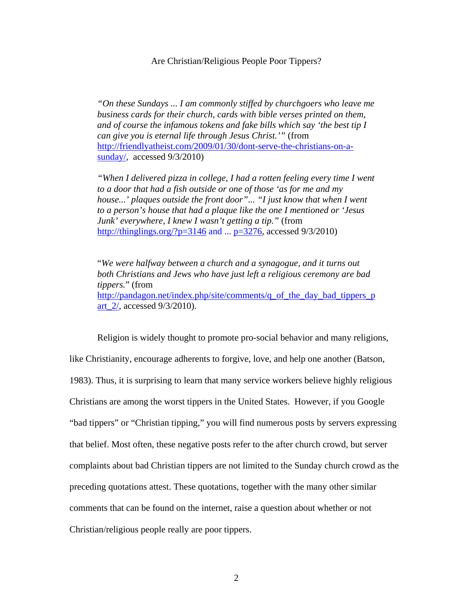Are Christian/Religious People Poor Tippers?

*"On these Sundays ... I am commonly stiffed by churchgoers who leave me business cards for their church, cards with bible verses printed on them, and of course the infamous tokens and fake bills which say 'the best tip I can give you is eternal life through Jesus Christ.'"* (from http://friendlyatheist.com/2009/01/30/dont-serve-the-christians-on-asunday/, accessed 9/3/2010)

*"When I delivered pizza in college, I had a rotten feeling every time I went to a door that had a fish outside or one of those 'as for me and my house...' plaques outside the front door"... "I just know that when I went to a person's house that had a plaque like the one I mentioned or 'Jesus Junk' everywhere, I knew I wasn't getting a tip."* (from http://thinglings.org/?p=3146 and ...  $p=3276$ , accessed  $9/3/2010$ )

"*We were halfway between a church and a synagogue, and it turns out both Christians and Jews who have just left a religious ceremony are bad tippers.*" (from http://pandagon.net/index.php/site/comments/q\_of\_the\_day\_bad\_tippers\_p art 2/, accessed 9/3/2010).

Religion is widely thought to promote pro-social behavior and many religions, like Christianity, encourage adherents to forgive, love, and help one another (Batson, 1983). Thus, it is surprising to learn that many service workers believe highly religious Christians are among the worst tippers in the United States. However, if you Google "bad tippers" or "Christian tipping," you will find numerous posts by servers expressing that belief. Most often, these negative posts refer to the after church crowd, but server complaints about bad Christian tippers are not limited to the Sunday church crowd as the preceding quotations attest. These quotations, together with the many other similar comments that can be found on the internet, raise a question about whether or not Christian/religious people really are poor tippers.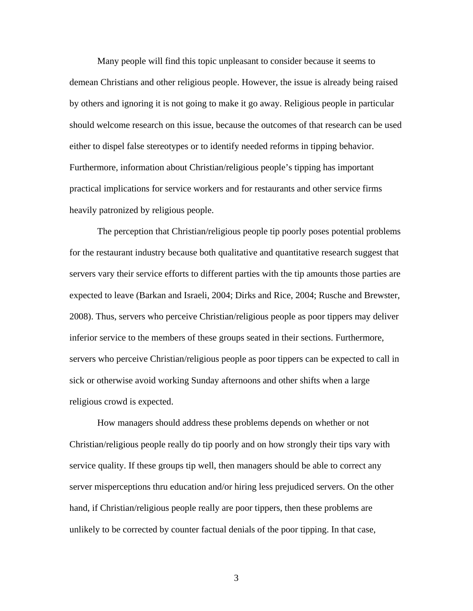Many people will find this topic unpleasant to consider because it seems to demean Christians and other religious people. However, the issue is already being raised by others and ignoring it is not going to make it go away. Religious people in particular should welcome research on this issue, because the outcomes of that research can be used either to dispel false stereotypes or to identify needed reforms in tipping behavior. Furthermore, information about Christian/religious people's tipping has important practical implications for service workers and for restaurants and other service firms heavily patronized by religious people.

The perception that Christian/religious people tip poorly poses potential problems for the restaurant industry because both qualitative and quantitative research suggest that servers vary their service efforts to different parties with the tip amounts those parties are expected to leave (Barkan and Israeli, 2004; Dirks and Rice, 2004; Rusche and Brewster, 2008). Thus, servers who perceive Christian/religious people as poor tippers may deliver inferior service to the members of these groups seated in their sections. Furthermore, servers who perceive Christian/religious people as poor tippers can be expected to call in sick or otherwise avoid working Sunday afternoons and other shifts when a large religious crowd is expected.

How managers should address these problems depends on whether or not Christian/religious people really do tip poorly and on how strongly their tips vary with service quality. If these groups tip well, then managers should be able to correct any server misperceptions thru education and/or hiring less prejudiced servers. On the other hand, if Christian/religious people really are poor tippers, then these problems are unlikely to be corrected by counter factual denials of the poor tipping. In that case,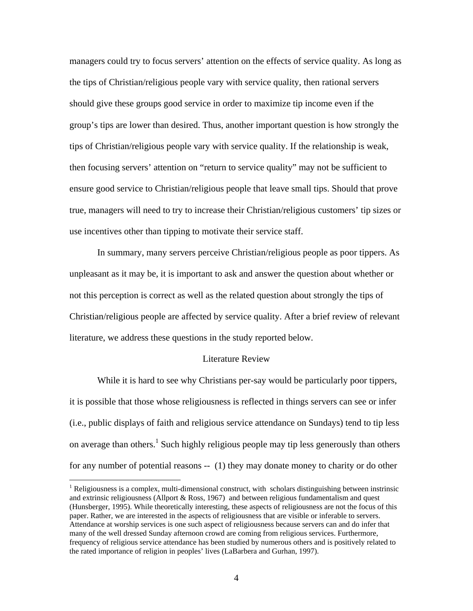managers could try to focus servers' attention on the effects of service quality. As long as the tips of Christian/religious people vary with service quality, then rational servers should give these groups good service in order to maximize tip income even if the group's tips are lower than desired. Thus, another important question is how strongly the tips of Christian/religious people vary with service quality. If the relationship is weak, then focusing servers' attention on "return to service quality" may not be sufficient to ensure good service to Christian/religious people that leave small tips. Should that prove true, managers will need to try to increase their Christian/religious customers' tip sizes or use incentives other than tipping to motivate their service staff.

In summary, many servers perceive Christian/religious people as poor tippers. As unpleasant as it may be, it is important to ask and answer the question about whether or not this perception is correct as well as the related question about strongly the tips of Christian/religious people are affected by service quality. After a brief review of relevant literature, we address these questions in the study reported below.

### Literature Review

While it is hard to see why Christians per-say would be particularly poor tippers, it is possible that those whose religiousness is reflected in things servers can see or infer (i.e., public displays of faith and religious service attendance on Sundays) tend to tip less on average than others.<sup>1</sup> Such highly religious people may tip less generously than others for any number of potential reasons -- (1) they may donate money to charity or do other

 $\overline{a}$ 

<sup>&</sup>lt;sup>1</sup> Religiousness is a complex, multi-dimensional construct, with scholars distinguishing between instrinsic and extrinsic religiousness (Allport & Ross, 1967) and between religious fundamentalism and quest (Hunsberger, 1995). While theoretically interesting, these aspects of religiousness are not the focus of this paper. Rather, we are interested in the aspects of religiousness that are visible or inferable to servers. Attendance at worship services is one such aspect of religiousness because servers can and do infer that many of the well dressed Sunday afternoon crowd are coming from religious services. Furthermore, frequency of religious service attendance has been studied by numerous others and is positively related to the rated importance of religion in peoples' lives (LaBarbera and Gurhan, 1997).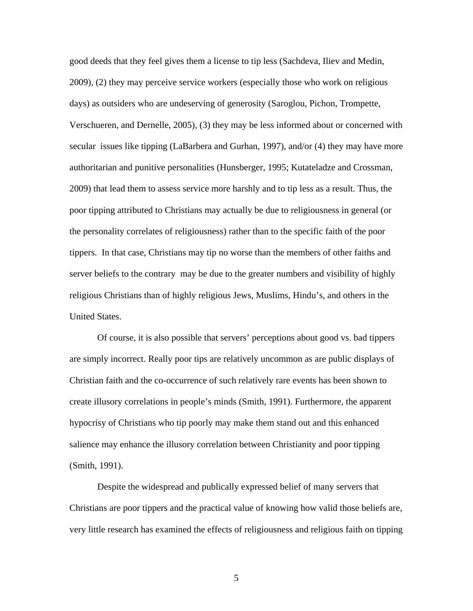good deeds that they feel gives them a license to tip less (Sachdeva, Iliev and Medin, 2009), (2) they may perceive service workers (especially those who work on religious days) as outsiders who are undeserving of generosity (Saroglou, Pichon, Trompette, Verschueren, and Dernelle, 2005), (3) they may be less informed about or concerned with secular issues like tipping (LaBarbera and Gurhan, 1997), and/or (4) they may have more authoritarian and punitive personalities (Hunsberger, 1995; Kutateladze and Crossman, 2009) that lead them to assess service more harshly and to tip less as a result. Thus, the poor tipping attributed to Christians may actually be due to religiousness in general (or the personality correlates of religiousness) rather than to the specific faith of the poor tippers. In that case, Christians may tip no worse than the members of other faiths and server beliefs to the contrary may be due to the greater numbers and visibility of highly religious Christians than of highly religious Jews, Muslims, Hindu's, and others in the United States.

Of course, it is also possible that servers' perceptions about good vs. bad tippers are simply incorrect. Really poor tips are relatively uncommon as are public displays of Christian faith and the co-occurrence of such relatively rare events has been shown to create illusory correlations in people's minds (Smith, 1991). Furthermore, the apparent hypocrisy of Christians who tip poorly may make them stand out and this enhanced salience may enhance the illusory correlation between Christianity and poor tipping (Smith, 1991).

Despite the widespread and publically expressed belief of many servers that Christians are poor tippers and the practical value of knowing how valid those beliefs are, very little research has examined the effects of religiousness and religious faith on tipping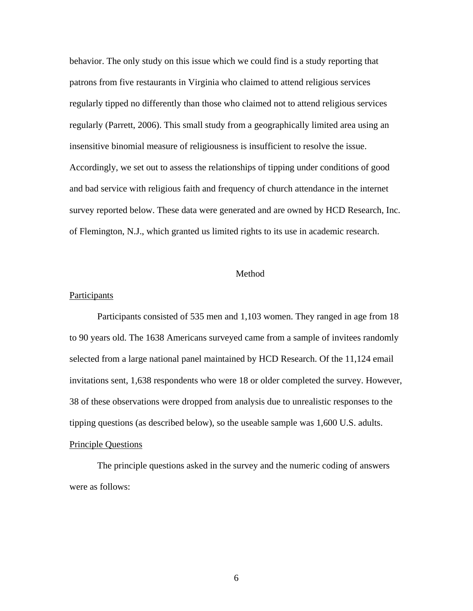behavior. The only study on this issue which we could find is a study reporting that patrons from five restaurants in Virginia who claimed to attend religious services regularly tipped no differently than those who claimed not to attend religious services regularly (Parrett, 2006). This small study from a geographically limited area using an insensitive binomial measure of religiousness is insufficient to resolve the issue. Accordingly, we set out to assess the relationships of tipping under conditions of good and bad service with religious faith and frequency of church attendance in the internet survey reported below. These data were generated and are owned by HCD Research, Inc. of Flemington, N.J., which granted us limited rights to its use in academic research.

#### Method

# **Participants**

 Participants consisted of 535 men and 1,103 women. They ranged in age from 18 to 90 years old. The 1638 Americans surveyed came from a sample of invitees randomly selected from a large national panel maintained by HCD Research. Of the 11,124 email invitations sent, 1,638 respondents who were 18 or older completed the survey. However, 38 of these observations were dropped from analysis due to unrealistic responses to the tipping questions (as described below), so the useable sample was 1,600 U.S. adults. Principle Questions

The principle questions asked in the survey and the numeric coding of answers were as follows: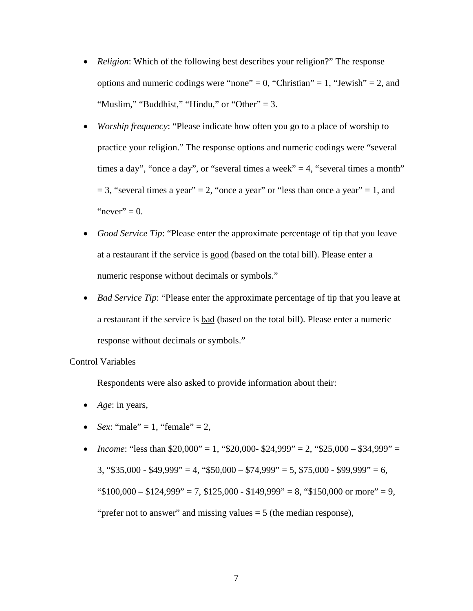- *Religion*: Which of the following best describes your religion?" The response options and numeric codings were "none" = 0, "Christian" = 1, "Jewish" = 2, and "Muslim," "Buddhist," "Hindu," or "Other"  $= 3$ .
- *Worship frequency*: "Please indicate how often you go to a place of worship to practice your religion." The response options and numeric codings were "several times a day", "once a day", or "several times a week"  $=$  4, "several times a month"  $= 3$ , "several times a year"  $= 2$ , "once a year" or "less than once a year"  $= 1$ , and "never"  $= 0$ .
- *Good Service Tip*: "Please enter the approximate percentage of tip that you leave at a restaurant if the service is good (based on the total bill). Please enter a numeric response without decimals or symbols."
- *Bad Service Tip*: "Please enter the approximate percentage of tip that you leave at a restaurant if the service is bad (based on the total bill). Please enter a numeric response without decimals or symbols."

# Control Variables

Respondents were also asked to provide information about their:

- *Age*: in years,
- *Sex*: "male" = 1, "female" = 2,
- *Income*: "less than  $$20,000$ " = 1, " $$20,000$   $$24,999$ " = 2, " $$25,000 $34,999$ " =  $3, \frac{1535,000 - 1849,999}{2} = 4, \frac{1550,000 - 174,999}{2} = 5, \frac{1575,000 - 199,999}{2} = 6,$ " $$100,000 - $124,999" = 7, $125,000 - $149,999" = 8, "$150,000 or more" = 9,$ "prefer not to answer" and missing values  $= 5$  (the median response),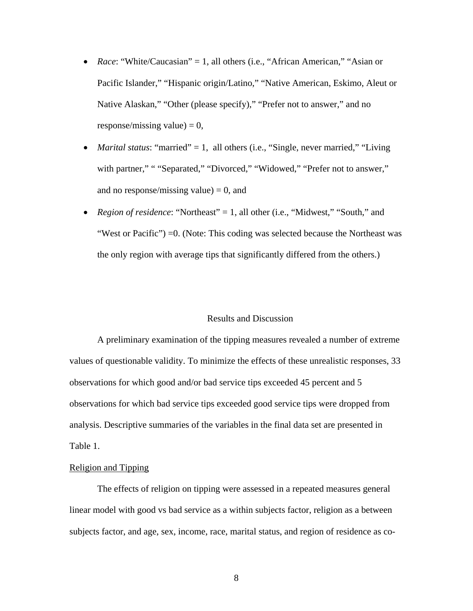- Race: "White/Caucasian" = 1, all others (i.e., "African American," "Asian or Pacific Islander," "Hispanic origin/Latino," "Native American, Eskimo, Aleut or Native Alaskan," "Other (please specify)," "Prefer not to answer," and no response/missing value)  $= 0$ ,
- *Marital status*: "married" = 1, all others (i.e., "Single, never married," "Living with partner," " "Separated," "Divorced," "Widowed," "Prefer not to answer," and no response/missing value)  $= 0$ , and
- *Region of residence*: "Northeast" = 1, all other (i.e., "Midwest," "South," and "West or Pacific") =0. (Note: This coding was selected because the Northeast was the only region with average tips that significantly differed from the others.)

# Results and Discussion

A preliminary examination of the tipping measures revealed a number of extreme values of questionable validity. To minimize the effects of these unrealistic responses, 33 observations for which good and/or bad service tips exceeded 45 percent and 5 observations for which bad service tips exceeded good service tips were dropped from analysis. Descriptive summaries of the variables in the final data set are presented in Table 1.

# Religion and Tipping

 The effects of religion on tipping were assessed in a repeated measures general linear model with good vs bad service as a within subjects factor, religion as a between subjects factor, and age, sex, income, race, marital status, and region of residence as co-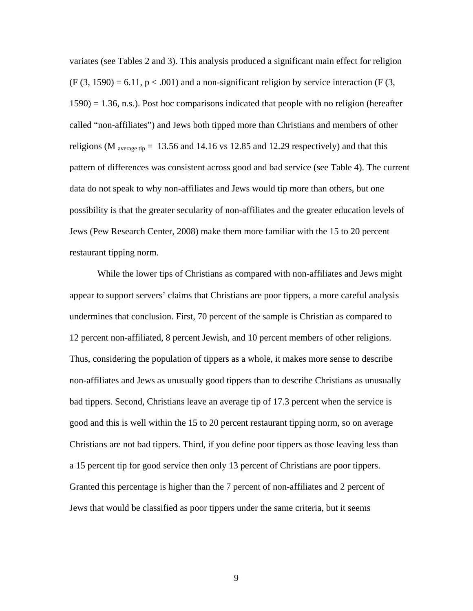variates (see Tables 2 and 3). This analysis produced a significant main effect for religion  $(F (3, 1590) = 6.11, p < .001)$  and a non-significant religion by service interaction (F  $(3,$  $1590$ ) = 1.36, n.s.). Post hoc comparisons indicated that people with no religion (hereafter called "non-affiliates") and Jews both tipped more than Christians and members of other religions (M <sub>average tip</sub> = 13.56 and 14.16 vs 12.85 and 12.29 respectively) and that this pattern of differences was consistent across good and bad service (see Table 4). The current data do not speak to why non-affiliates and Jews would tip more than others, but one possibility is that the greater secularity of non-affiliates and the greater education levels of Jews (Pew Research Center, 2008) make them more familiar with the 15 to 20 percent restaurant tipping norm.

While the lower tips of Christians as compared with non-affiliates and Jews might appear to support servers' claims that Christians are poor tippers, a more careful analysis undermines that conclusion. First, 70 percent of the sample is Christian as compared to 12 percent non-affiliated, 8 percent Jewish, and 10 percent members of other religions. Thus, considering the population of tippers as a whole, it makes more sense to describe non-affiliates and Jews as unusually good tippers than to describe Christians as unusually bad tippers. Second, Christians leave an average tip of 17.3 percent when the service is good and this is well within the 15 to 20 percent restaurant tipping norm, so on average Christians are not bad tippers. Third, if you define poor tippers as those leaving less than a 15 percent tip for good service then only 13 percent of Christians are poor tippers. Granted this percentage is higher than the 7 percent of non-affiliates and 2 percent of Jews that would be classified as poor tippers under the same criteria, but it seems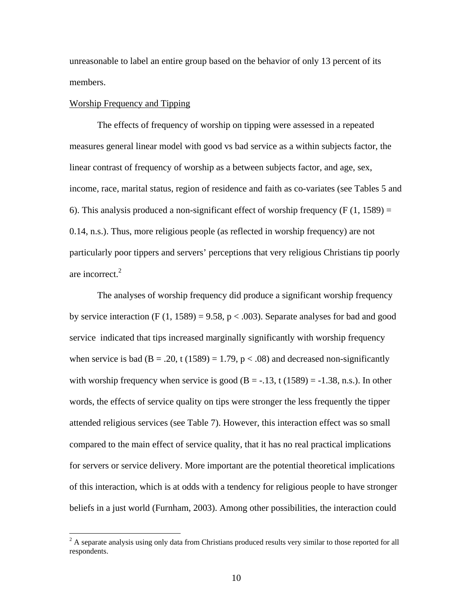unreasonable to label an entire group based on the behavior of only 13 percent of its members.

### Worship Frequency and Tipping

The effects of frequency of worship on tipping were assessed in a repeated measures general linear model with good vs bad service as a within subjects factor, the linear contrast of frequency of worship as a between subjects factor, and age, sex, income, race, marital status, region of residence and faith as co-variates (see Tables 5 and 6). This analysis produced a non-significant effect of worship frequency ( $F(1, 1589) =$ 0.14, n.s.). Thus, more religious people (as reflected in worship frequency) are not particularly poor tippers and servers' perceptions that very religious Christians tip poorly are incorrect.<sup>2</sup>

The analyses of worship frequency did produce a significant worship frequency by service interaction (F  $(1, 1589) = 9.58$ , p < .003). Separate analyses for bad and good service indicated that tips increased marginally significantly with worship frequency when service is bad ( $B = .20$ , t (1589) = 1.79, p < .08) and decreased non-significantly with worship frequency when service is good  $(B = -13, t (1589) = -1.38, n.s.).$  In other words, the effects of service quality on tips were stronger the less frequently the tipper attended religious services (see Table 7). However, this interaction effect was so small compared to the main effect of service quality, that it has no real practical implications for servers or service delivery. More important are the potential theoretical implications of this interaction, which is at odds with a tendency for religious people to have stronger beliefs in a just world (Furnham, 2003). Among other possibilities, the interaction could

<sup>&</sup>lt;sup>2</sup> A separate analysis using only data from Christians produced results very similar to those reported for all respondents.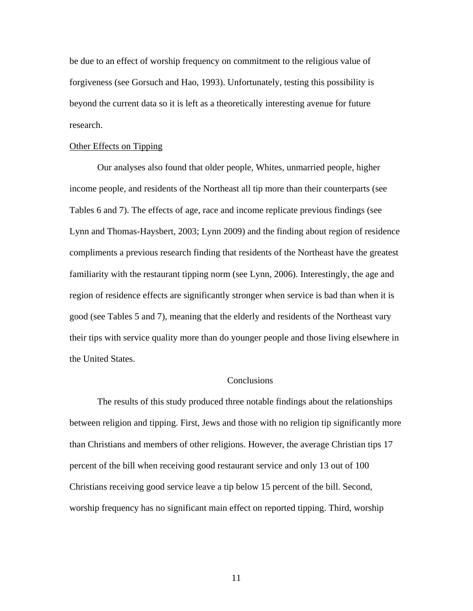be due to an effect of worship frequency on commitment to the religious value of forgiveness (see Gorsuch and Hao, 1993). Unfortunately, testing this possibility is beyond the current data so it is left as a theoretically interesting avenue for future research.

#### Other Effects on Tipping

Our analyses also found that older people, Whites, unmarried people, higher income people, and residents of the Northeast all tip more than their counterparts (see Tables 6 and 7). The effects of age, race and income replicate previous findings (see Lynn and Thomas-Haysbert, 2003; Lynn 2009) and the finding about region of residence compliments a previous research finding that residents of the Northeast have the greatest familiarity with the restaurant tipping norm (see Lynn, 2006). Interestingly, the age and region of residence effects are significantly stronger when service is bad than when it is good (see Tables 5 and 7), meaning that the elderly and residents of the Northeast vary their tips with service quality more than do younger people and those living elsewhere in the United States.

# Conclusions

The results of this study produced three notable findings about the relationships between religion and tipping. First, Jews and those with no religion tip significantly more than Christians and members of other religions. However, the average Christian tips 17 percent of the bill when receiving good restaurant service and only 13 out of 100 Christians receiving good service leave a tip below 15 percent of the bill. Second, worship frequency has no significant main effect on reported tipping. Third, worship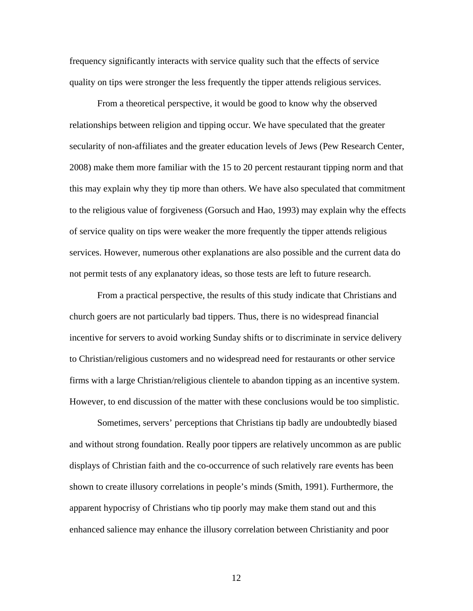frequency significantly interacts with service quality such that the effects of service quality on tips were stronger the less frequently the tipper attends religious services.

From a theoretical perspective, it would be good to know why the observed relationships between religion and tipping occur. We have speculated that the greater secularity of non-affiliates and the greater education levels of Jews (Pew Research Center, 2008) make them more familiar with the 15 to 20 percent restaurant tipping norm and that this may explain why they tip more than others. We have also speculated that commitment to the religious value of forgiveness (Gorsuch and Hao, 1993) may explain why the effects of service quality on tips were weaker the more frequently the tipper attends religious services. However, numerous other explanations are also possible and the current data do not permit tests of any explanatory ideas, so those tests are left to future research.

From a practical perspective, the results of this study indicate that Christians and church goers are not particularly bad tippers. Thus, there is no widespread financial incentive for servers to avoid working Sunday shifts or to discriminate in service delivery to Christian/religious customers and no widespread need for restaurants or other service firms with a large Christian/religious clientele to abandon tipping as an incentive system. However, to end discussion of the matter with these conclusions would be too simplistic.

Sometimes, servers' perceptions that Christians tip badly are undoubtedly biased and without strong foundation. Really poor tippers are relatively uncommon as are public displays of Christian faith and the co-occurrence of such relatively rare events has been shown to create illusory correlations in people's minds (Smith, 1991). Furthermore, the apparent hypocrisy of Christians who tip poorly may make them stand out and this enhanced salience may enhance the illusory correlation between Christianity and poor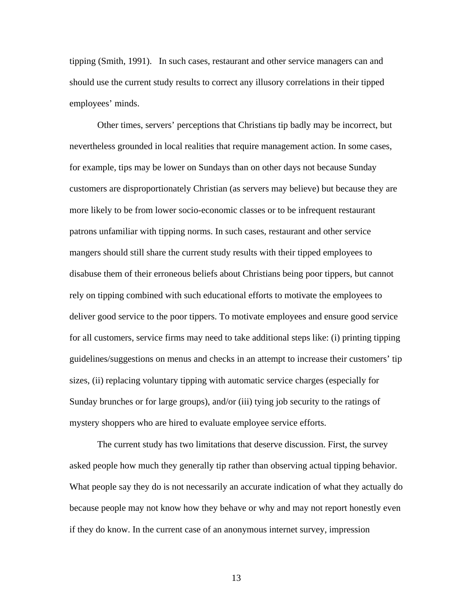tipping (Smith, 1991). In such cases, restaurant and other service managers can and should use the current study results to correct any illusory correlations in their tipped employees' minds.

Other times, servers' perceptions that Christians tip badly may be incorrect, but nevertheless grounded in local realities that require management action. In some cases, for example, tips may be lower on Sundays than on other days not because Sunday customers are disproportionately Christian (as servers may believe) but because they are more likely to be from lower socio-economic classes or to be infrequent restaurant patrons unfamiliar with tipping norms. In such cases, restaurant and other service mangers should still share the current study results with their tipped employees to disabuse them of their erroneous beliefs about Christians being poor tippers, but cannot rely on tipping combined with such educational efforts to motivate the employees to deliver good service to the poor tippers. To motivate employees and ensure good service for all customers, service firms may need to take additional steps like: (i) printing tipping guidelines/suggestions on menus and checks in an attempt to increase their customers' tip sizes, (ii) replacing voluntary tipping with automatic service charges (especially for Sunday brunches or for large groups), and/or (iii) tying job security to the ratings of mystery shoppers who are hired to evaluate employee service efforts.

The current study has two limitations that deserve discussion. First, the survey asked people how much they generally tip rather than observing actual tipping behavior. What people say they do is not necessarily an accurate indication of what they actually do because people may not know how they behave or why and may not report honestly even if they do know. In the current case of an anonymous internet survey, impression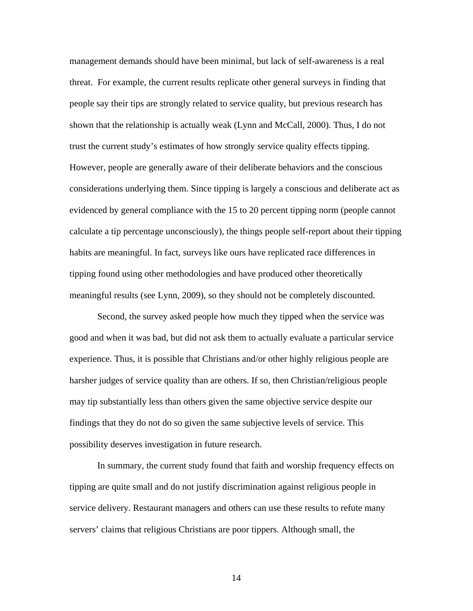management demands should have been minimal, but lack of self-awareness is a real threat. For example, the current results replicate other general surveys in finding that people say their tips are strongly related to service quality, but previous research has shown that the relationship is actually weak (Lynn and McCall, 2000). Thus, I do not trust the current study's estimates of how strongly service quality effects tipping. However, people are generally aware of their deliberate behaviors and the conscious considerations underlying them. Since tipping is largely a conscious and deliberate act as evidenced by general compliance with the 15 to 20 percent tipping norm (people cannot calculate a tip percentage unconsciously), the things people self-report about their tipping habits are meaningful. In fact, surveys like ours have replicated race differences in tipping found using other methodologies and have produced other theoretically meaningful results (see Lynn, 2009), so they should not be completely discounted.

Second, the survey asked people how much they tipped when the service was good and when it was bad, but did not ask them to actually evaluate a particular service experience. Thus, it is possible that Christians and/or other highly religious people are harsher judges of service quality than are others. If so, then Christian/religious people may tip substantially less than others given the same objective service despite our findings that they do not do so given the same subjective levels of service. This possibility deserves investigation in future research.

In summary, the current study found that faith and worship frequency effects on tipping are quite small and do not justify discrimination against religious people in service delivery. Restaurant managers and others can use these results to refute many servers' claims that religious Christians are poor tippers. Although small, the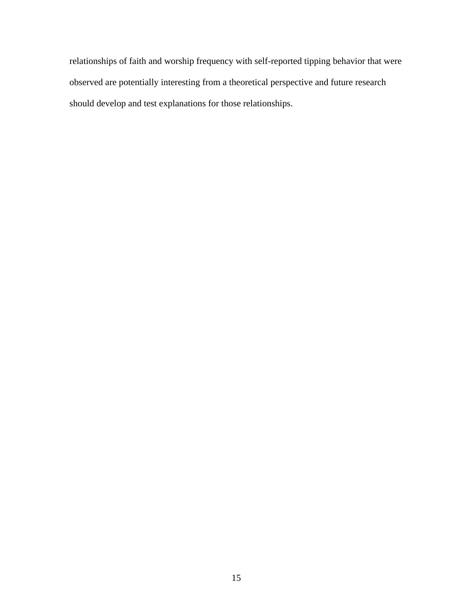relationships of faith and worship frequency with self-reported tipping behavior that were observed are potentially interesting from a theoretical perspective and future research should develop and test explanations for those relationships.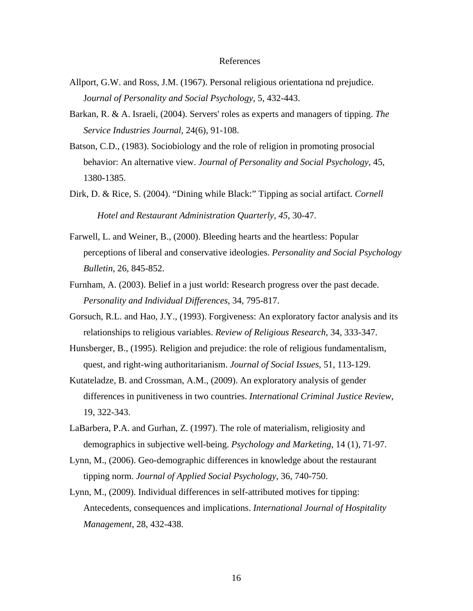# References

- Allport, G.W. and Ross, J.M. (1967). Personal religious orientationa nd prejudice. J*ournal of Personality and Social Psychology*, 5, 432-443.
- Barkan, R. & A. Israeli, (2004). Servers' roles as experts and managers of tipping. *The Service Industries Journal*, 24(6), 91-108.
- Batson, C.D., (1983). Sociobiology and the role of religion in promoting prosocial behavior: An alternative view. *Journal of Personality and Social Psychology*, 45, 1380-1385.
- Dirk, D. & Rice, S. (2004). "Dining while Black:" Tipping as social artifact. *Cornell Hotel and Restaurant Administration Quarterly, 45*, 30-47.
- Farwell, L. and Weiner, B., (2000). Bleeding hearts and the heartless: Popular perceptions of liberal and conservative ideologies. *Personality and Social Psychology Bulletin*, 26, 845-852.
- Furnham, A. (2003). Belief in a just world: Research progress over the past decade. *Personality and Individual Differences*, 34, 795-817.
- Gorsuch, R.L. and Hao, J.Y., (1993). Forgiveness: An exploratory factor analysis and its relationships to religious variables. *Review of Religious Research*, 34, 333-347.
- Hunsberger, B., (1995). Religion and prejudice: the role of religious fundamentalism, quest, and right-wing authoritarianism. *Journal of Social Issues*, 51, 113-129.
- Kutateladze, B. and Crossman, A.M., (2009). An exploratory analysis of gender differences in punitiveness in two countries. *International Criminal Justice Review*, 19, 322-343.
- LaBarbera, P.A. and Gurhan, Z. (1997). The role of materialism, religiosity and demographics in subjective well-being. *Psychology and Marketing*, 14 (1), 71-97.
- Lynn, M., (2006). Geo-demographic differences in knowledge about the restaurant tipping norm. *Journal of Applied Social Psychology*, 36, 740-750.
- Lynn, M., (2009). Individual differences in self-attributed motives for tipping: Antecedents, consequences and implications. *International Journal of Hospitality Management*, 28, 432-438.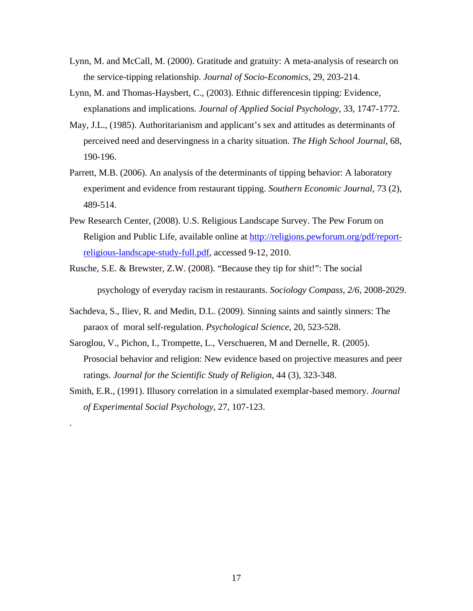- Lynn, M. and McCall, M. (2000). Gratitude and gratuity: A meta-analysis of research on the service-tipping relationship. *Journal of Socio-Economics*, 29, 203-214.
- Lynn, M. and Thomas-Haysbert, C., (2003). Ethnic differencesin tipping: Evidence, explanations and implications. *Journal of Applied Social Psychology*, 33, 1747-1772.
- May, J.L., (1985). Authoritarianism and applicant's sex and attitudes as determinants of perceived need and deservingness in a charity situation. *The High School Journal*, 68, 190-196.
- Parrett, M.B. (2006). An analysis of the determinants of tipping behavior: A laboratory experiment and evidence from restaurant tipping. *Southern Economic Journal*, 73 (2), 489-514.
- Pew Research Center, (2008). U.S. Religious Landscape Survey. The Pew Forum on Religion and Public Life, available online at http://religions.pewforum.org/pdf/reportreligious-landscape-study-full.pdf, accessed 9-12, 2010.
- Rusche, S.E. & Brewster, Z.W. (2008). "Because they tip for shit!": The social psychology of everyday racism in restaurants. *Sociology Compass, 2/6*, 2008-2029.
- Sachdeva, S., Iliev, R. and Medin, D.L. (2009). Sinning saints and saintly sinners: The paraox of moral self-regulation. *Psychological Science*, 20, 523-528.
- Saroglou, V., Pichon, I., Trompette, L., Verschueren, M and Dernelle, R. (2005). Prosocial behavior and religion: New evidence based on projective measures and peer ratings. *Journal for the Scientific Study of Religion*, 44 (3), 323-348.
- Smith, E.R., (1991). Illusory correlation in a simulated exemplar-based memory. *Journal of Experimental Social Psychology*, 27, 107-123.

.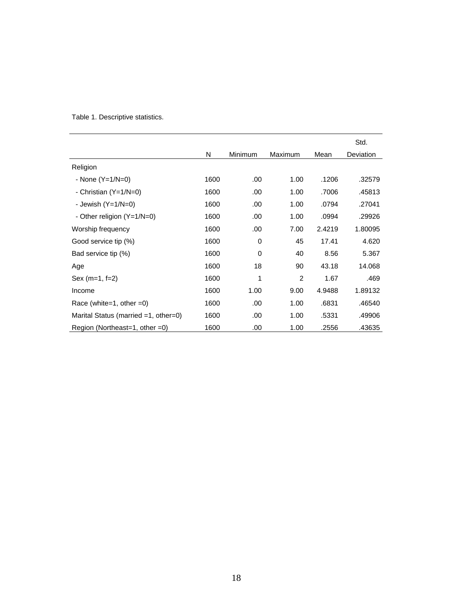|                                         |      |                |         |        | Std.      |
|-----------------------------------------|------|----------------|---------|--------|-----------|
|                                         | N    | <b>Minimum</b> | Maximum | Mean   | Deviation |
| Religion                                |      |                |         |        |           |
| - None $(Y=1/N=0)$                      | 1600 | .00.           | 1.00    | .1206  | .32579    |
| - Christian $(Y=1/N=0)$                 | 1600 | .00            | 1.00    | .7006  | .45813    |
| - Jewish $(Y=1/N=0)$                    | 1600 | .00            | 1.00    | .0794  | .27041    |
| - Other religion $(Y=1/N=0)$            | 1600 | .00            | 1.00    | .0994  | .29926    |
| Worship frequency                       | 1600 | .00            | 7.00    | 2.4219 | 1.80095   |
| Good service tip (%)                    | 1600 | 0              | 45      | 17.41  | 4.620     |
| Bad service tip (%)                     | 1600 | $\Omega$       | 40      | 8.56   | 5.367     |
| Age                                     | 1600 | 18             | 90      | 43.18  | 14.068    |
| $Sex (m=1, f=2)$                        | 1600 | 1              | 2       | 1.67   | .469      |
| Income                                  | 1600 | 1.00           | 9.00    | 4.9488 | 1.89132   |
| Race (white=1, other =0)                | 1600 | .00            | 1.00    | .6831  | .46540    |
| Marital Status (married $=1$ , other=0) | 1600 | .00            | 1.00    | .5331  | .49906    |
| Region (Northeast=1, other =0)          | 1600 | .00            | 1.00    | .2556  | .43635    |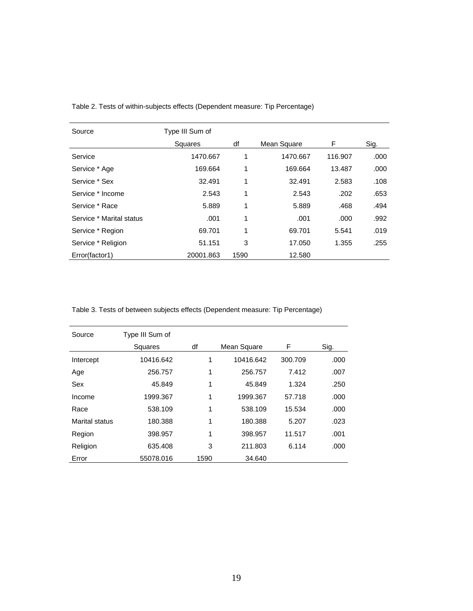| Source                   | Type III Sum of |      |             |         |      |
|--------------------------|-----------------|------|-------------|---------|------|
|                          | <b>Squares</b>  | df   | Mean Square | F.      | Sig. |
| Service                  | 1470.667        | 1    | 1470.667    | 116.907 | .000 |
| Service * Age            | 169.664         | 1    | 169.664     | 13.487  | .000 |
| Service * Sex            | 32.491          | 1    | 32.491      | 2.583   | .108 |
| Service * Income         | 2.543           | 1    | 2.543       | .202    | .653 |
| Service * Race           | 5.889           | 1    | 5.889       | .468    | .494 |
| Service * Marital status | .001            | 1    | .001        | .000    | .992 |
| Service * Region         | 69.701          | 1    | 69.701      | 5.541   | .019 |
| Service * Religion       | 51.151          | 3    | 17.050      | 1.355   | .255 |
| Error(factor1)           | 20001.863       | 1590 | 12.580      |         |      |

Table 2. Tests of within-subjects effects (Dependent measure: Tip Percentage)

Table 3. Tests of between subjects effects (Dependent measure: Tip Percentage)

| Source         | Type III Sum of |      |             |         |      |
|----------------|-----------------|------|-------------|---------|------|
|                | Squares         | df   | Mean Square | F       | Sig. |
| Intercept      | 10416.642       | 1    | 10416.642   | 300.709 | .000 |
| Age            | 256.757         | 1    | 256.757     | 7.412   | .007 |
| Sex            | 45.849          | 1    | 45.849      | 1.324   | .250 |
| Income         | 1999.367        | 1    | 1999.367    | 57.718  | .000 |
| Race           | 538.109         | 1    | 538.109     | 15.534  | .000 |
| Marital status | 180.388         | 1    | 180.388     | 5.207   | .023 |
| Region         | 398.957         | 1    | 398.957     | 11.517  | .001 |
| Religion       | 635.408         | 3    | 211.803     | 6.114   | .000 |
| Error          | 55078.016       | 1590 | 34.640      |         |      |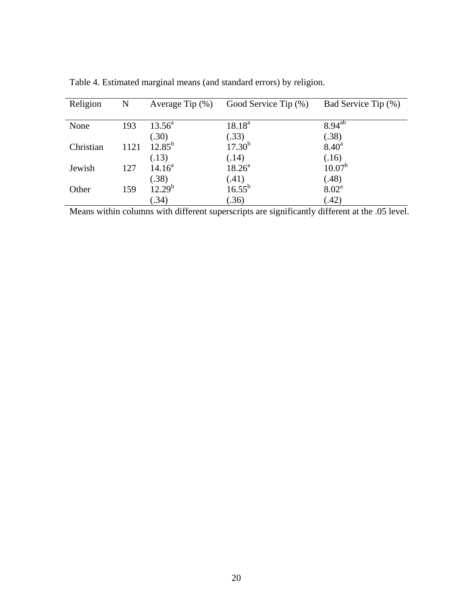| Religion  | $\mathbf N$ | Average Tip $(\%)$ | Good Service Tip (%) | Bad Service Tip (%) |
|-----------|-------------|--------------------|----------------------|---------------------|
|           |             |                    |                      |                     |
| None      | 193         | $13.56^{\circ}$    | $18.18^{a}$          | $8.94^{ab}$         |
|           |             | (.30)              | (.33)                | (.38)               |
| Christian | 1121        | $12.85^{\rm b}$    | $17.30^{b}$          | 8.40 <sup>a</sup>   |
|           |             | (.13)              | (.14)                | (.16)               |
| Jewish    | 127         | $14.16^a$          | $18.26^a$            | $10.07^b$           |
|           |             | (.38)              | (.41)                | (.48)               |
| Other     | 159         | $12.29^{b}$        | $16.55^{b}$          | $8.02^{\text{a}}$   |
|           |             | (.34)              | (.36)                | (.42)               |

Table 4. Estimated marginal means (and standard errors) by religion.

Means within columns with different superscripts are significantly different at the .05 level.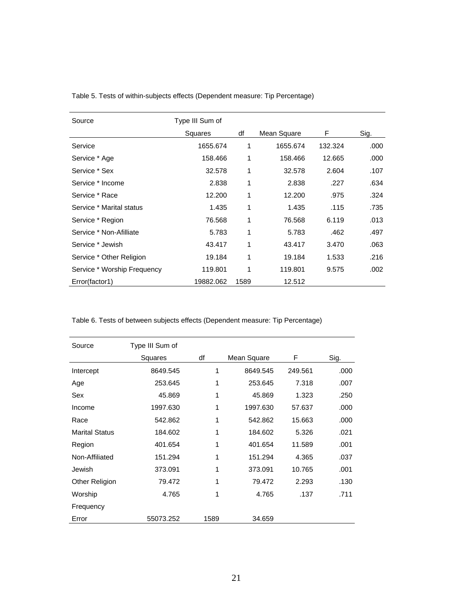| Source                      | Type III Sum of |      |             |         |      |
|-----------------------------|-----------------|------|-------------|---------|------|
|                             | Squares         | df   | Mean Square | F       | Sig. |
| Service                     | 1655.674        | 1    | 1655.674    | 132.324 | .000 |
| Service * Age               | 158.466         | 1    | 158.466     | 12.665  | .000 |
| Service * Sex               | 32.578          | 1    | 32.578      | 2.604   | .107 |
| Service * Income            | 2.838           | 1    | 2.838       | .227    | .634 |
| Service * Race              | 12.200          | 1    | 12.200      | .975    | .324 |
| Service * Marital status    | 1.435           | 1    | 1.435       | .115    | .735 |
| Service * Region            | 76.568          | 1    | 76.568      | 6.119   | .013 |
| Service * Non-Afilliate     | 5.783           | 1    | 5.783       | .462    | .497 |
| Service * Jewish            | 43.417          | 1    | 43.417      | 3.470   | .063 |
| Service * Other Religion    | 19.184          | 1    | 19.184      | 1.533   | .216 |
| Service * Worship Frequency | 119.801         | 1    | 119.801     | 9.575   | .002 |
| Error(factor1)              | 19882.062       | 1589 | 12.512      |         |      |

Table 5. Tests of within-subjects effects (Dependent measure: Tip Percentage)

Table 6. Tests of between subjects effects (Dependent measure: Tip Percentage)

| Source                | Type III Sum of |      |             |         |      |
|-----------------------|-----------------|------|-------------|---------|------|
|                       | Squares         | df   | Mean Square | F       | Sig. |
| Intercept             | 8649.545        | 1    | 8649.545    | 249.561 | .000 |
| Age                   | 253.645         | 1    | 253.645     | 7.318   | .007 |
| Sex                   | 45.869          | 1    | 45.869      | 1.323   | .250 |
| Income                | 1997.630        | 1    | 1997.630    | 57.637  | .000 |
| Race                  | 542.862         | 1    | 542.862     | 15.663  | .000 |
| <b>Marital Status</b> | 184.602         | 1    | 184.602     | 5.326   | .021 |
| Region                | 401.654         | 1    | 401.654     | 11.589  | .001 |
| Non-Affiliated        | 151.294         | 1    | 151.294     | 4.365   | .037 |
| Jewish                | 373.091         | 1    | 373.091     | 10.765  | .001 |
| Other Religion        | 79.472          | 1    | 79.472      | 2.293   | .130 |
| Worship               | 4.765           | 1    | 4.765       | .137    | .711 |
| Frequency             |                 |      |             |         |      |
| Error                 | 55073.252       | 1589 | 34.659      |         |      |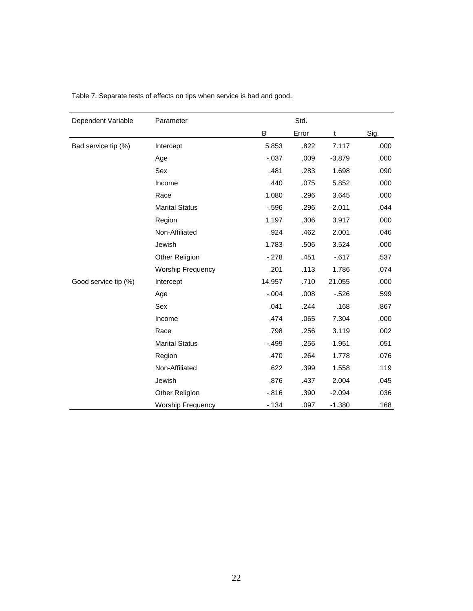| Dependent Variable   | Parameter                | Std.     |       |          |      |
|----------------------|--------------------------|----------|-------|----------|------|
|                      |                          | B        | Error | t        | Sig. |
| Bad service tip (%)  | Intercept                | 5.853    | .822  | 7.117    | .000 |
|                      | Age                      | $-.037$  | .009  | $-3.879$ | .000 |
|                      | Sex                      | .481     | .283  | 1.698    | .090 |
|                      | Income                   | .440     | .075  | 5.852    | .000 |
|                      | Race                     | 1.080    | .296  | 3.645    | .000 |
|                      | <b>Marital Status</b>    | $-.596$  | .296  | $-2.011$ | .044 |
|                      | Region                   | 1.197    | .306  | 3.917    | .000 |
|                      | Non-Affiliated           | .924     | .462  | 2.001    | .046 |
|                      | Jewish                   | 1.783    | .506  | 3.524    | .000 |
|                      | Other Religion           | $-278$   | .451  | $-617$   | .537 |
|                      | <b>Worship Frequency</b> | .201     | .113  | 1.786    | .074 |
| Good service tip (%) | Intercept                | 14.957   | .710  | 21.055   | .000 |
|                      | Age                      | $-.004$  | .008  | $-526$   | .599 |
|                      | Sex                      | .041     | .244  | .168     | .867 |
|                      | Income                   | .474     | .065  | 7.304    | .000 |
|                      | Race                     | .798     | .256  | 3.119    | .002 |
|                      | <b>Marital Status</b>    | $-.499$  | .256  | $-1.951$ | .051 |
|                      | Region                   | .470     | .264  | 1.778    | .076 |
|                      | Non-Affiliated           | .622     | .399  | 1.558    | .119 |
|                      | Jewish                   | .876     | .437  | 2.004    | .045 |
|                      | Other Religion           | $-0.816$ | .390  | $-2.094$ | .036 |
|                      | <b>Worship Frequency</b> | $-134$   | .097  | $-1.380$ | .168 |

Table 7. Separate tests of effects on tips when service is bad and good.